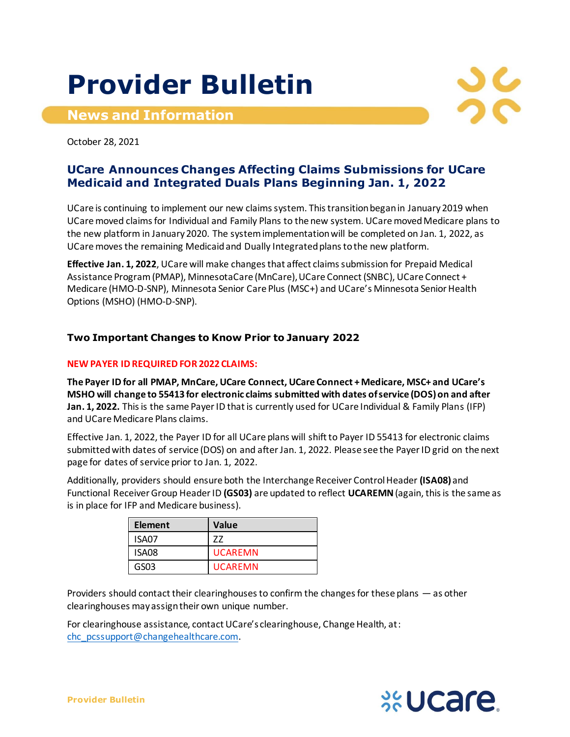# **Provider Bulletin**

**News and Information**



October 28, 2021

## **UCare Announces Changes Affecting Claims Submissions for UCare Medicaid and Integrated Duals Plans Beginning Jan. 1, 2022**

UCare is continuing to implement our new claims system. This transition began in January 2019 when UCare moved claims for Individual and Family Plans to the new system. UCare moved Medicare plans to the new platform in January 2020. The system implementation will be completed on Jan. 1, 2022, as UCare movesthe remaining Medicaid and Dually Integrated plans to the new platform.

**Effective Jan. 1, 2022**, UCare will make changes that affect claims submission for Prepaid Medical Assistance Program(PMAP), MinnesotaCare (MnCare), UCare Connect (SNBC), UCare Connect + Medicare (HMO-D-SNP), Minnesota Senior Care Plus (MSC+) and UCare's Minnesota Senior Health Options (MSHO) (HMO-D-SNP).

### **Two Important Changes to Know Prior to January 2022**

#### **NEW PAYER ID REQUIRED FOR 2022 CLAIMS:**

**The Payer ID for all PMAP, MnCare, UCare Connect, UCare Connect + Medicare, MSC+ and UCare's MSHO will change to 55413 for electronic claims submitted with dates of service (DOS) on and after Jan. 1, 2022.** This is the same Payer ID that is currently used for UCare Individual & Family Plans (IFP) and UCare Medicare Plans claims.

Effective Jan. 1, 2022, the Payer ID for all UCare plans will shift to Payer ID 55413 for electronic claims submitted with dates of service (DOS) on and after Jan. 1, 2022. Please see the Payer ID grid on the next page for dates of service prior to Jan. 1, 2022.

Additionally, providers should ensure both the Interchange Receiver Control Header **(ISA08)** and Functional Receiver Group Header ID **(GS03)** are updated to reflect **UCAREMN**(again, this is the same as is in place for IFP and Medicare business).

| <b>Element</b> | <b>Value</b>   |
|----------------|----------------|
| ISA07          | 77             |
| ISA08          | <b>UCAREMN</b> |
| GS03           | <b>UCAREMN</b> |

Providers should contact their clearinghouses to confirm the changes for these plans — as other clearinghouses may assign their own unique number.

For clearinghouse assistance, contact UCare's clearinghouse, Change Health, at: [chc\\_pcssupport@changehealthcare.com](mailto:chc_pcssupport@changehealthcare.com).

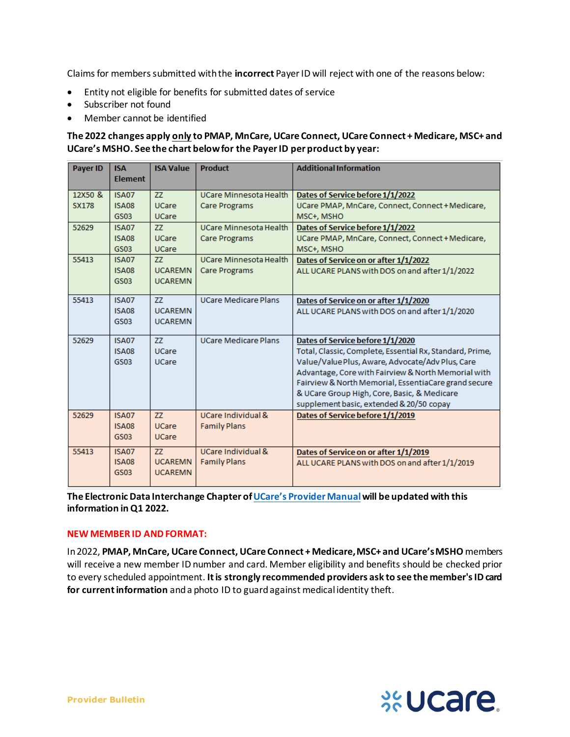Claims for members submitted with the **incorrect** Payer ID will reject with one of the reasons below:

- Entity not eligible for benefits for submitted dates of service
- Subscriber not found
- Member cannot be identified

#### **The 2022 changes apply only to PMAP, MnCare, UCare Connect, UCare Connect + Medicare, MSC+ and UCare's MSHO. See the chart below for the PayerID per product by year:**

| <b>Payer ID</b> | <b>ISA</b><br><b>Flement</b>                | <b>ISA Value</b>                       | <b>Product</b>                                                    | <b>Additional Information</b>                                                                                                                                                                                                                                                                                                                              |  |
|-----------------|---------------------------------------------|----------------------------------------|-------------------------------------------------------------------|------------------------------------------------------------------------------------------------------------------------------------------------------------------------------------------------------------------------------------------------------------------------------------------------------------------------------------------------------------|--|
| 12X50 &         | <b>ISA07</b>                                | ZZ                                     | <b>UCare Minnesota Health</b><br>Dates of Service before 1/1/2022 |                                                                                                                                                                                                                                                                                                                                                            |  |
| <b>SX178</b>    | <b>ISA08</b><br><b>GS03</b>                 | <b>UCare</b><br><b>UCare</b>           | <b>Care Programs</b>                                              | UCare PMAP, MnCare, Connect, Connect + Medicare,<br>MSC+, MSHO                                                                                                                                                                                                                                                                                             |  |
| 52629           | <b>ISA07</b>                                | ZZ                                     | <b>UCare Minnesota Health</b>                                     | Dates of Service before 1/1/2022                                                                                                                                                                                                                                                                                                                           |  |
|                 | <b>ISA08</b><br><b>GS03</b>                 | <b>UCare</b><br><b>UCare</b>           | <b>Care Programs</b>                                              | UCare PMAP, MnCare, Connect, Connect + Medicare,<br>MSC+, MSHO                                                                                                                                                                                                                                                                                             |  |
| 55413           | <b>ISA07</b><br><b>ISA08</b><br>GS03        | 77<br><b>UCAREMN</b><br><b>UCAREMN</b> | <b>UCare Minnesota Health</b><br><b>Care Programs</b>             | Dates of Service on or after 1/1/2022<br>ALL UCARE PLANS with DOS on and after 1/1/2022                                                                                                                                                                                                                                                                    |  |
| 55413           | <b>ISA07</b><br><b>ISA08</b><br><b>GS03</b> | ZZ<br><b>UCAREMN</b><br><b>UCAREMN</b> | <b>UCare Medicare Plans</b>                                       | Dates of Service on or after 1/1/2020<br>ALL UCARE PLANS with DOS on and after 1/1/2020                                                                                                                                                                                                                                                                    |  |
| 52629           | <b>ISA07</b><br><b>ISA08</b><br><b>GS03</b> | ZZ<br><b>UCare</b><br><b>UCare</b>     | <b>UCare Medicare Plans</b>                                       | Dates of Service before 1/1/2020<br>Total, Classic, Complete, Essential Rx, Standard, Prime,<br>Value/Value Plus, Aware, Advocate/Adv Plus, Care<br>Advantage, Core with Fairview & North Memorial with<br>Fairview & North Memorial, EssentiaCare grand secure<br>& UCare Group High, Core, Basic, & Medicare<br>supplement basic, extended & 20/50 copay |  |
| 52629           | <b>ISA07</b><br><b>ISA08</b><br><b>GS03</b> | 77<br><b>UCare</b><br><b>UCare</b>     | UCare Individual &<br><b>Family Plans</b>                         | Dates of Service before 1/1/2019                                                                                                                                                                                                                                                                                                                           |  |
| 55413           | <b>ISA07</b><br><b>ISA08</b><br><b>GS03</b> | 77<br><b>UCAREMN</b><br><b>UCAREMN</b> | UCare Individual &<br><b>Family Plans</b>                         | Dates of Service on or after 1/1/2019<br>ALL UCARE PLANS with DOS on and after 1/1/2019                                                                                                                                                                                                                                                                    |  |

**The Electronic Data Interchange Chapter of [UCare's Provider Manual](https://www.ucare.org/providers/policies-resources/provider-manual)will be updated with this information in Q1 2022.**

#### **NEW MEMBER ID AND FORMAT:**

In 2022, **PMAP, MnCare, UCare Connect, UCare Connect + Medicare, MSC+ and UCare's MSHO** members will receive a new member ID number and card. Member eligibility and benefits should be checked prior to every scheduled appointment. **It is strongly recommended providers ask to see the member's ID card for current information** and a photo ID to guard against medical identity theft.